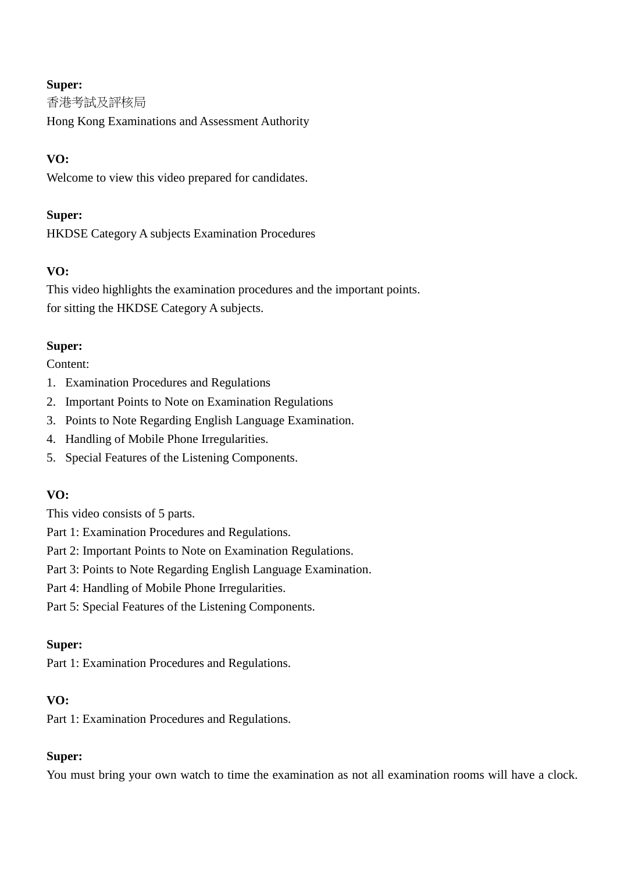```
香港考試及評核局
```
Hong Kong Examinations and Assessment Authority

# **VO:**

Welcome to view this video prepared for candidates.

# **Super:**

HKDSE Category A subjects Examination Procedures

# **VO:**

This video highlights the examination procedures and the important points. for sitting the HKDSE Category A subjects.

# **Super:**

Content:

- 1. Examination Procedures and Regulations
- 2. Important Points to Note on Examination Regulations
- 3. Points to Note Regarding English Language Examination.
- 4. Handling of Mobile Phone Irregularities.
- 5. Special Features of the Listening Components.

# **VO:**

This video consists of 5 parts.

- Part 1: Examination Procedures and Regulations.
- Part 2: Important Points to Note on Examination Regulations.
- Part 3: Points to Note Regarding English Language Examination.
- Part 4: Handling of Mobile Phone Irregularities.
- Part 5: Special Features of the Listening Components.

# **Super:**

Part 1: Examination Procedures and Regulations.

# **VO:**

Part 1: Examination Procedures and Regulations.

# **Super:**

You must bring your own watch to time the examination as not all examination rooms will have a clock.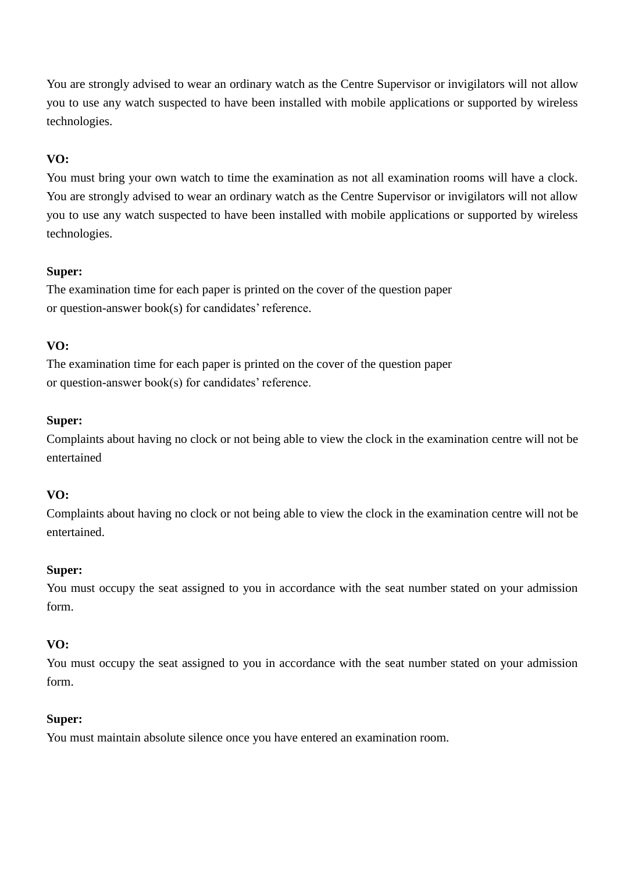You are strongly advised to wear an ordinary watch as the Centre Supervisor or invigilators will not allow you to use any watch suspected to have been installed with mobile applications or supported by wireless technologies.

# **VO:**

You must bring your own watch to time the examination as not all examination rooms will have a clock. You are strongly advised to wear an ordinary watch as the Centre Supervisor or invigilators will not allow you to use any watch suspected to have been installed with mobile applications or supported by wireless technologies.

# **Super:**

The examination time for each paper is printed on the cover of the question paper or question-answer book(s) for candidates' reference.

# **VO:**

The examination time for each paper is printed on the cover of the question paper or question-answer book(s) for candidates' reference.

# **Super:**

Complaints about having no clock or not being able to view the clock in the examination centre will not be entertained

### **VO:**

Complaints about having no clock or not being able to view the clock in the examination centre will not be entertained.

### **Super:**

You must occupy the seat assigned to you in accordance with the seat number stated on your admission form.

### **VO:**

You must occupy the seat assigned to you in accordance with the seat number stated on your admission form.

# **Super:**

You must maintain absolute silence once you have entered an examination room.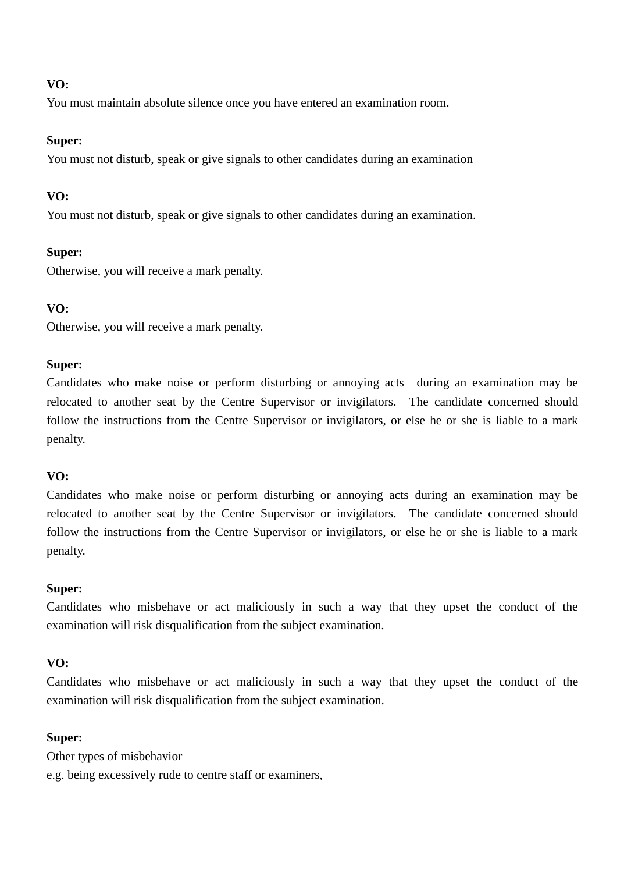You must maintain absolute silence once you have entered an examination room.

# **Super:**

You must not disturb, speak or give signals to other candidates during an examination

# **VO:**

You must not disturb, speak or give signals to other candidates during an examination.

# **Super:**

Otherwise, you will receive a mark penalty.

# **VO:**

Otherwise, you will receive a mark penalty.

# **Super:**

Candidates who make noise or perform disturbing or annoying acts during an examination may be relocated to another seat by the Centre Supervisor or invigilators. The candidate concerned should follow the instructions from the Centre Supervisor or invigilators, or else he or she is liable to a mark penalty.

# **VO:**

Candidates who make noise or perform disturbing or annoying acts during an examination may be relocated to another seat by the Centre Supervisor or invigilators. The candidate concerned should follow the instructions from the Centre Supervisor or invigilators, or else he or she is liable to a mark penalty.

### **Super:**

Candidates who misbehave or act maliciously in such a way that they upset the conduct of the examination will risk disqualification from the subject examination.

# **VO:**

Candidates who misbehave or act maliciously in such a way that they upset the conduct of the examination will risk disqualification from the subject examination.

# **Super:**

Other types of misbehavior e.g. being excessively rude to centre staff or examiners,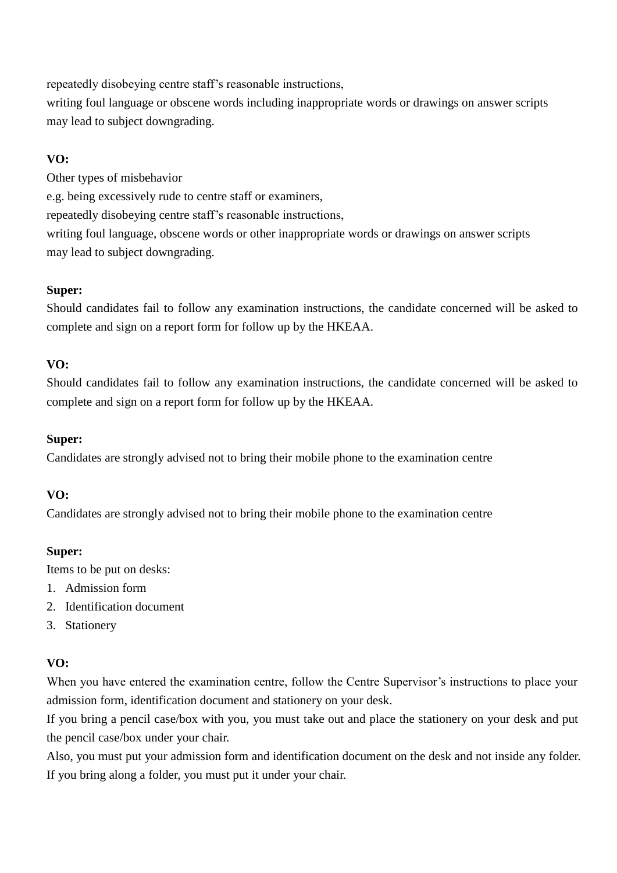repeatedly disobeying centre staff's reasonable instructions,

writing foul language or obscene words including inappropriate words or drawings on answer scripts may lead to subject downgrading.

# **VO:**

Other types of misbehavior e.g. being excessively rude to centre staff or examiners, repeatedly disobeying centre staff's reasonable instructions, writing foul language, obscene words or other inappropriate words or drawings on answer scripts may lead to subject downgrading.

# **Super:**

Should candidates fail to follow any examination instructions, the candidate concerned will be asked to complete and sign on a report form for follow up by the HKEAA.

# **VO:**

Should candidates fail to follow any examination instructions, the candidate concerned will be asked to complete and sign on a report form for follow up by the HKEAA.

# **Super:**

Candidates are strongly advised not to bring their mobile phone to the examination centre

# **VO:**

Candidates are strongly advised not to bring their mobile phone to the examination centre

# **Super:**

Items to be put on desks:

- 1. Admission form
- 2. Identification document
- 3. Stationery

# **VO:**

When you have entered the examination centre, follow the Centre Supervisor's instructions to place your admission form, identification document and stationery on your desk.

If you bring a pencil case/box with you, you must take out and place the stationery on your desk and put the pencil case/box under your chair.

Also, you must put your admission form and identification document on the desk and not inside any folder. If you bring along a folder, you must put it under your chair.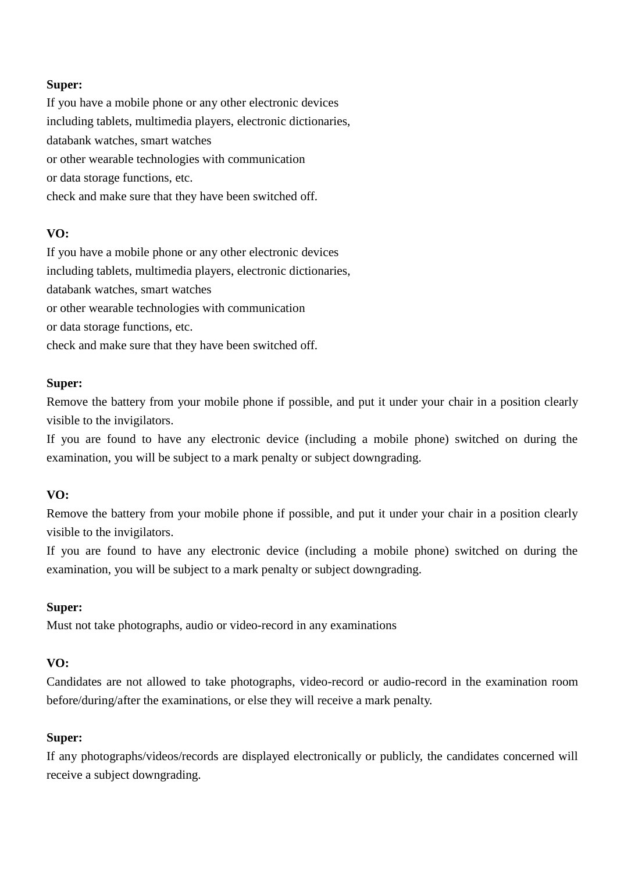If you have a mobile phone or any other electronic devices including tablets, multimedia players, electronic dictionaries, databank watches, smart watches or other wearable technologies with communication or data storage functions, etc. check and make sure that they have been switched off.

# **VO:**

If you have a mobile phone or any other electronic devices including tablets, multimedia players, electronic dictionaries, databank watches, smart watches or other wearable technologies with communication or data storage functions, etc. check and make sure that they have been switched off.

### **Super:**

Remove the battery from your mobile phone if possible, and put it under your chair in a position clearly visible to the invigilators.

If you are found to have any electronic device (including a mobile phone) switched on during the examination, you will be subject to a mark penalty or subject downgrading.

# **VO:**

Remove the battery from your mobile phone if possible, and put it under your chair in a position clearly visible to the invigilators.

If you are found to have any electronic device (including a mobile phone) switched on during the examination, you will be subject to a mark penalty or subject downgrading.

# **Super:**

Must not take photographs, audio or video-record in any examinations

# **VO:**

Candidates are not allowed to take photographs, video-record or audio-record in the examination room before/during/after the examinations, or else they will receive a mark penalty.

# **Super:**

If any photographs/videos/records are displayed electronically or publicly, the candidates concerned will receive a subject downgrading.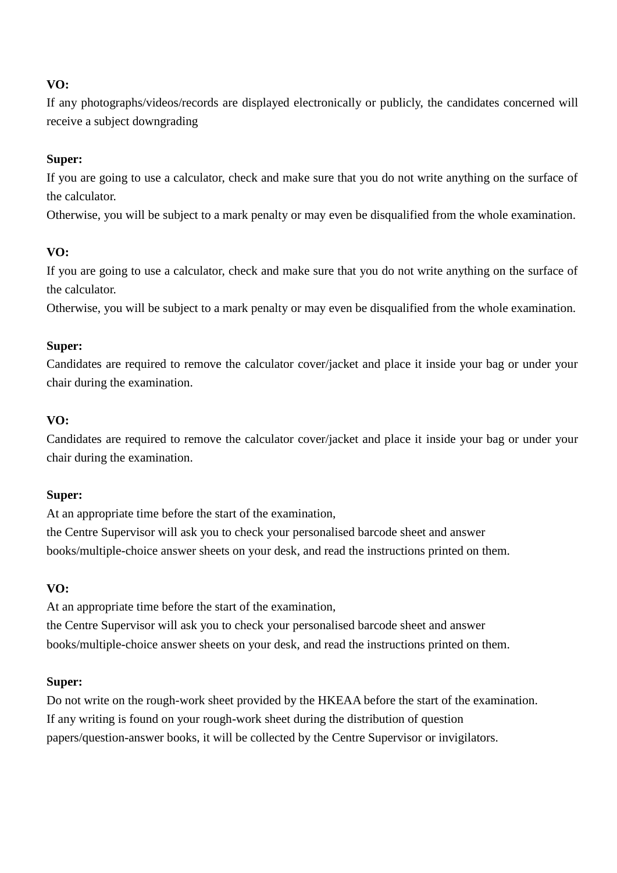If any photographs/videos/records are displayed electronically or publicly, the candidates concerned will receive a subject downgrading

# **Super:**

If you are going to use a calculator, check and make sure that you do not write anything on the surface of the calculator.

Otherwise, you will be subject to a mark penalty or may even be disqualified from the whole examination.

# **VO:**

If you are going to use a calculator, check and make sure that you do not write anything on the surface of the calculator.

Otherwise, you will be subject to a mark penalty or may even be disqualified from the whole examination.

### **Super:**

Candidates are required to remove the calculator cover/jacket and place it inside your bag or under your chair during the examination.

### **VO:**

Candidates are required to remove the calculator cover/jacket and place it inside your bag or under your chair during the examination.

### **Super:**

At an appropriate time before the start of the examination,

the Centre Supervisor will ask you to check your personalised barcode sheet and answer books/multiple-choice answer sheets on your desk, and read the instructions printed on them.

### **VO:**

At an appropriate time before the start of the examination, the Centre Supervisor will ask you to check your personalised barcode sheet and answer books/multiple-choice answer sheets on your desk, and read the instructions printed on them.

### **Super:**

Do not write on the rough-work sheet provided by the HKEAA before the start of the examination. If any writing is found on your rough-work sheet during the distribution of question papers/question-answer books, it will be collected by the Centre Supervisor or invigilators.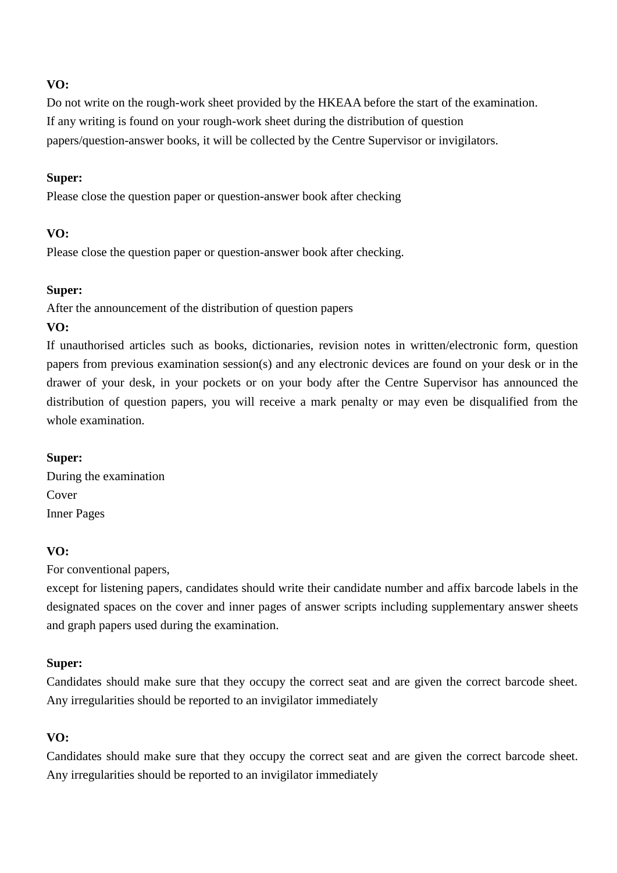Do not write on the rough-work sheet provided by the HKEAA before the start of the examination. If any writing is found on your rough-work sheet during the distribution of question papers/question-answer books, it will be collected by the Centre Supervisor or invigilators.

#### **Super:**

Please close the question paper or question-answer book after checking

### **VO:**

Please close the question paper or question-answer book after checking.

#### **Super:**

After the announcement of the distribution of question papers

#### **VO:**

If unauthorised articles such as books, dictionaries, revision notes in written/electronic form, question papers from previous examination session(s) and any electronic devices are found on your desk or in the drawer of your desk, in your pockets or on your body after the Centre Supervisor has announced the distribution of question papers, you will receive a mark penalty or may even be disqualified from the whole examination.

#### **Super:**

During the examination Cover Inner Pages

### **VO:**

For conventional papers,

except for listening papers, candidates should write their candidate number and affix barcode labels in the designated spaces on the cover and inner pages of answer scripts including supplementary answer sheets and graph papers used during the examination.

### **Super:**

Candidates should make sure that they occupy the correct seat and are given the correct barcode sheet. Any irregularities should be reported to an invigilator immediately

### **VO:**

Candidates should make sure that they occupy the correct seat and are given the correct barcode sheet. Any irregularities should be reported to an invigilator immediately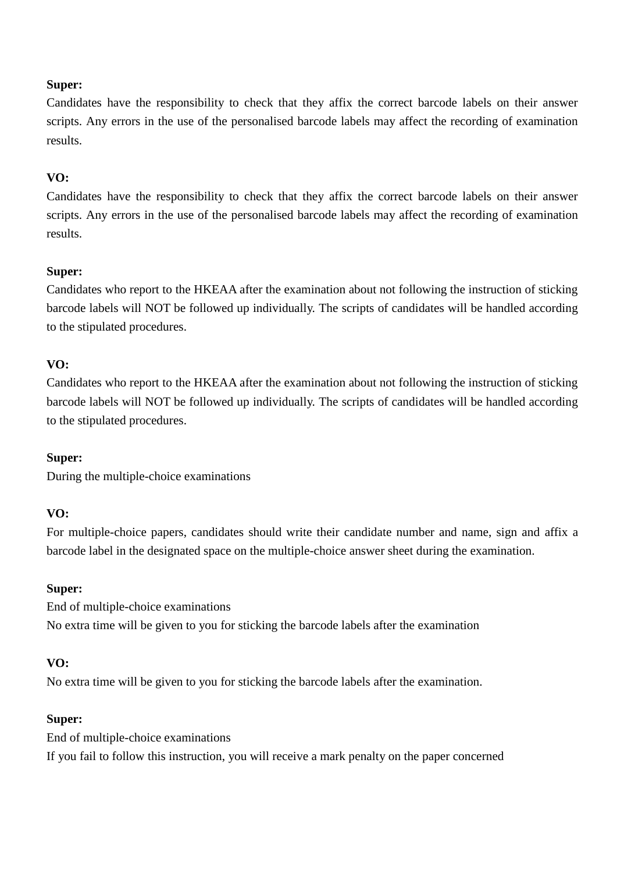Candidates have the responsibility to check that they affix the correct barcode labels on their answer scripts. Any errors in the use of the personalised barcode labels may affect the recording of examination results.

#### **VO:**

Candidates have the responsibility to check that they affix the correct barcode labels on their answer scripts. Any errors in the use of the personalised barcode labels may affect the recording of examination results.

#### **Super:**

Candidates who report to the HKEAA after the examination about not following the instruction of sticking barcode labels will NOT be followed up individually. The scripts of candidates will be handled according to the stipulated procedures.

#### **VO:**

Candidates who report to the HKEAA after the examination about not following the instruction of sticking barcode labels will NOT be followed up individually. The scripts of candidates will be handled according to the stipulated procedures.

#### **Super:**

During the multiple-choice examinations

#### **VO:**

For multiple-choice papers, candidates should write their candidate number and name, sign and affix a barcode label in the designated space on the multiple-choice answer sheet during the examination.

#### **Super:**

End of multiple-choice examinations No extra time will be given to you for sticking the barcode labels after the examination

#### **VO:**

No extra time will be given to you for sticking the barcode labels after the examination.

#### **Super:**

End of multiple-choice examinations If you fail to follow this instruction, you will receive a mark penalty on the paper concerned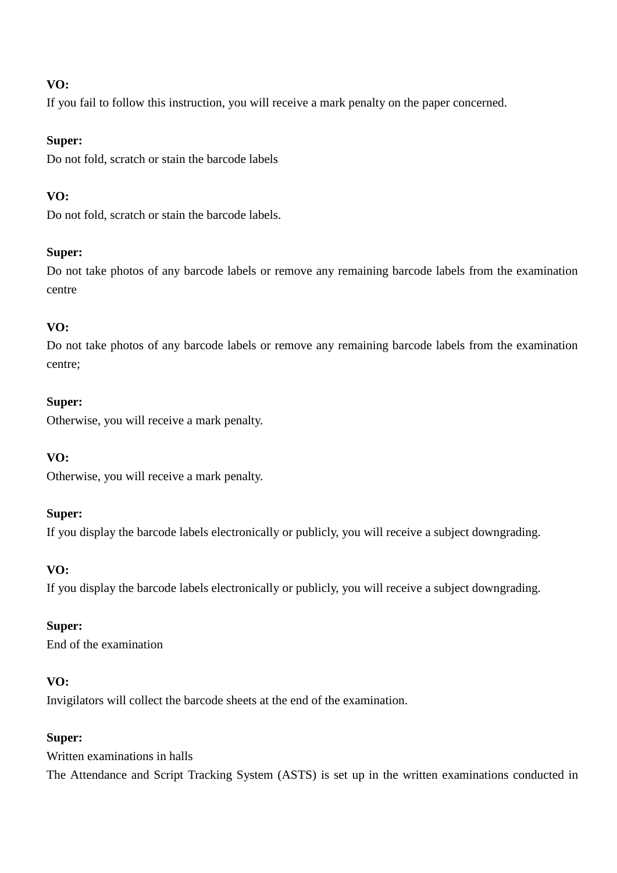If you fail to follow this instruction, you will receive a mark penalty on the paper concerned.

## **Super:**

Do not fold, scratch or stain the barcode labels

# **VO:**

Do not fold, scratch or stain the barcode labels.

# **Super:**

Do not take photos of any barcode labels or remove any remaining barcode labels from the examination centre

# **VO:**

Do not take photos of any barcode labels or remove any remaining barcode labels from the examination centre;

# **Super:**

Otherwise, you will receive a mark penalty.

# **VO:**

Otherwise, you will receive a mark penalty.

### **Super:**

If you display the barcode labels electronically or publicly, you will receive a subject downgrading.

# **VO:**

If you display the barcode labels electronically or publicly, you will receive a subject downgrading.

# **Super:**

End of the examination

# **VO:**

Invigilators will collect the barcode sheets at the end of the examination.

# **Super:**

Written examinations in halls The Attendance and Script Tracking System (ASTS) is set up in the written examinations conducted in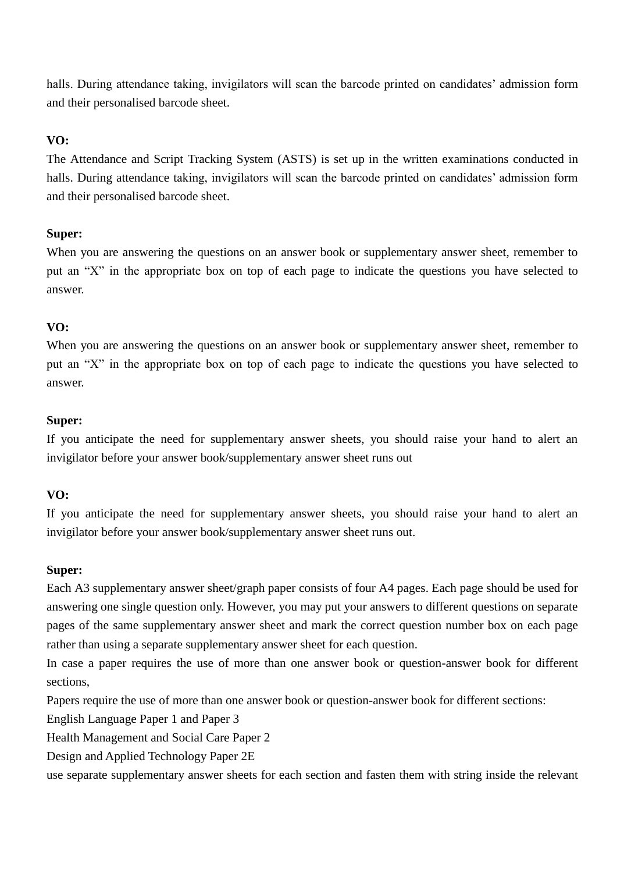halls. During attendance taking, invigilators will scan the barcode printed on candidates' admission form and their personalised barcode sheet.

# **VO:**

The Attendance and Script Tracking System (ASTS) is set up in the written examinations conducted in halls. During attendance taking, invigilators will scan the barcode printed on candidates' admission form and their personalised barcode sheet.

### **Super:**

When you are answering the questions on an answer book or supplementary answer sheet, remember to put an "X" in the appropriate box on top of each page to indicate the questions you have selected to answer.

# **VO:**

When you are answering the questions on an answer book or supplementary answer sheet, remember to put an "X" in the appropriate box on top of each page to indicate the questions you have selected to answer.

### **Super:**

If you anticipate the need for supplementary answer sheets, you should raise your hand to alert an invigilator before your answer book/supplementary answer sheet runs out

### **VO:**

If you anticipate the need for supplementary answer sheets, you should raise your hand to alert an invigilator before your answer book/supplementary answer sheet runs out.

### **Super:**

Each A3 supplementary answer sheet/graph paper consists of four A4 pages. Each page should be used for answering one single question only. However, you may put your answers to different questions on separate pages of the same supplementary answer sheet and mark the correct question number box on each page rather than using a separate supplementary answer sheet for each question.

In case a paper requires the use of more than one answer book or question-answer book for different sections,

Papers require the use of more than one answer book or question-answer book for different sections:

English Language Paper 1 and Paper 3

Health Management and Social Care Paper 2

Design and Applied Technology Paper 2E

use separate supplementary answer sheets for each section and fasten them with string inside the relevant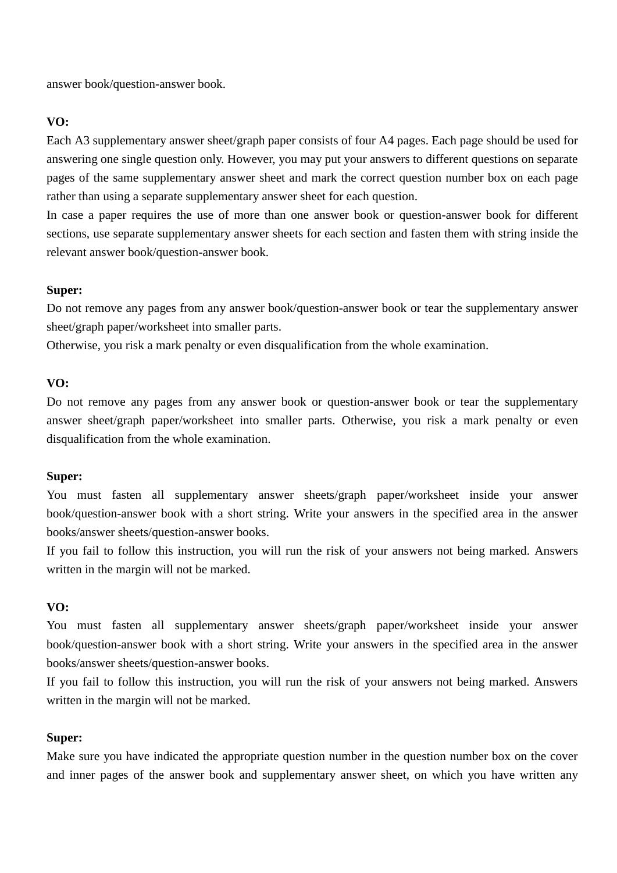answer book/question-answer book.

## **VO:**

Each A3 supplementary answer sheet/graph paper consists of four A4 pages. Each page should be used for answering one single question only. However, you may put your answers to different questions on separate pages of the same supplementary answer sheet and mark the correct question number box on each page rather than using a separate supplementary answer sheet for each question.

In case a paper requires the use of more than one answer book or question-answer book for different sections, use separate supplementary answer sheets for each section and fasten them with string inside the relevant answer book/question-answer book.

### **Super:**

Do not remove any pages from any answer book/question-answer book or tear the supplementary answer sheet/graph paper/worksheet into smaller parts.

Otherwise, you risk a mark penalty or even disqualification from the whole examination.

## **VO:**

Do not remove any pages from any answer book or question-answer book or tear the supplementary answer sheet/graph paper/worksheet into smaller parts. Otherwise, you risk a mark penalty or even disqualification from the whole examination.

### **Super:**

You must fasten all supplementary answer sheets/graph paper/worksheet inside your answer book/question-answer book with a short string. Write your answers in the specified area in the answer books/answer sheets/question-answer books.

If you fail to follow this instruction, you will run the risk of your answers not being marked. Answers written in the margin will not be marked.

# **VO:**

You must fasten all supplementary answer sheets/graph paper/worksheet inside your answer book/question-answer book with a short string. Write your answers in the specified area in the answer books/answer sheets/question-answer books.

If you fail to follow this instruction, you will run the risk of your answers not being marked. Answers written in the margin will not be marked.

### **Super:**

Make sure you have indicated the appropriate question number in the question number box on the cover and inner pages of the answer book and supplementary answer sheet, on which you have written any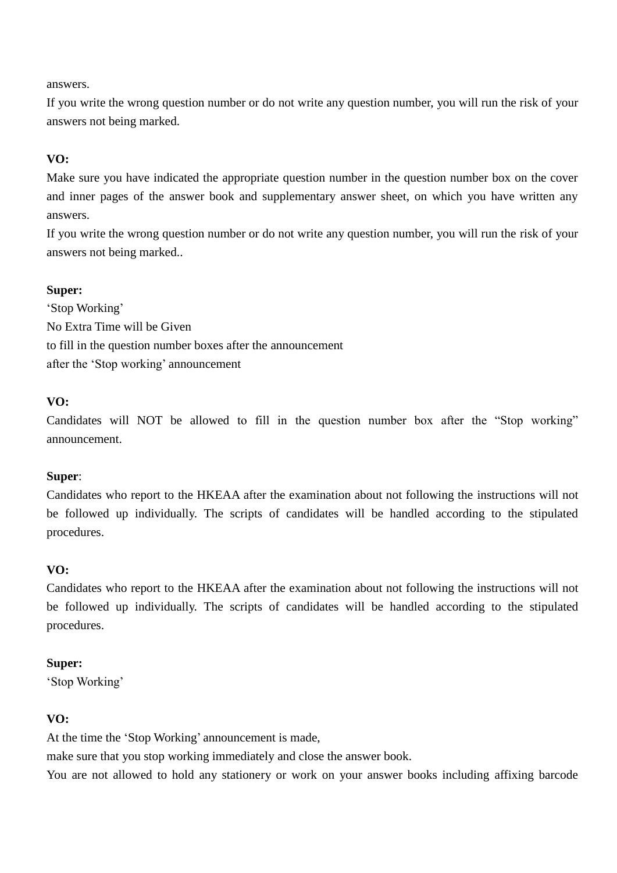answers.

If you write the wrong question number or do not write any question number, you will run the risk of your answers not being marked.

# **VO:**

Make sure you have indicated the appropriate question number in the question number box on the cover and inner pages of the answer book and supplementary answer sheet, on which you have written any answers.

If you write the wrong question number or do not write any question number, you will run the risk of your answers not being marked..

### **Super:**

'Stop Working' No Extra Time will be Given to fill in the question number boxes after the announcement after the 'Stop working' announcement

#### **VO:**

Candidates will NOT be allowed to fill in the question number box after the "Stop working" announcement.

#### **Super**:

Candidates who report to the HKEAA after the examination about not following the instructions will not be followed up individually. The scripts of candidates will be handled according to the stipulated procedures.

#### **VO:**

Candidates who report to the HKEAA after the examination about not following the instructions will not be followed up individually. The scripts of candidates will be handled according to the stipulated procedures.

#### **Super:**

'Stop Working'

### **VO:**

At the time the 'Stop Working' announcement is made,

make sure that you stop working immediately and close the answer book.

You are not allowed to hold any stationery or work on your answer books including affixing barcode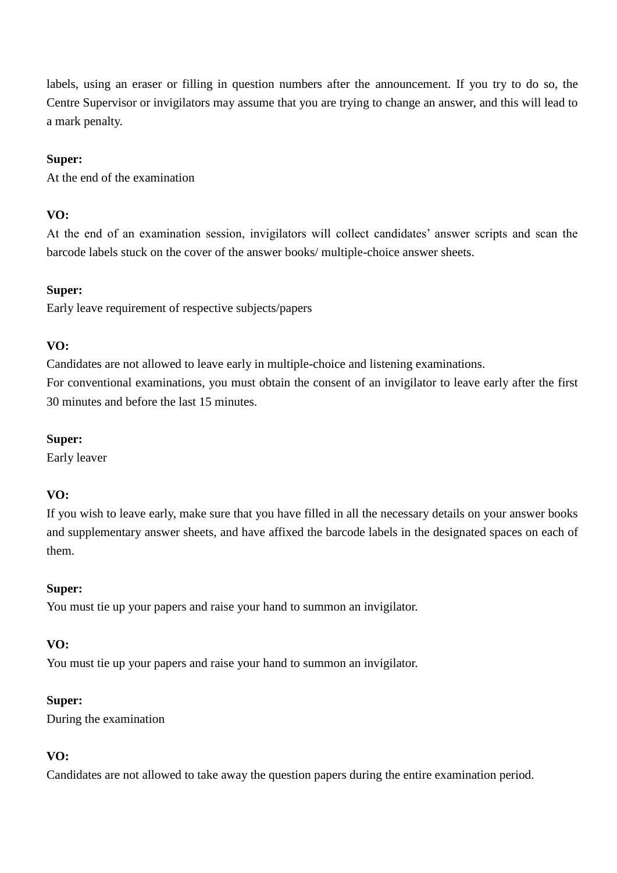labels, using an eraser or filling in question numbers after the announcement. If you try to do so, the Centre Supervisor or invigilators may assume that you are trying to change an answer, and this will lead to a mark penalty.

#### **Super:**

At the end of the examination

### **VO:**

At the end of an examination session, invigilators will collect candidates' answer scripts and scan the barcode labels stuck on the cover of the answer books/ multiple-choice answer sheets.

#### **Super:**

Early leave requirement of respective subjects/papers

#### **VO:**

Candidates are not allowed to leave early in multiple-choice and listening examinations.

For conventional examinations, you must obtain the consent of an invigilator to leave early after the first 30 minutes and before the last 15 minutes.

#### **Super:**

Early leaver

### **VO:**

If you wish to leave early, make sure that you have filled in all the necessary details on your answer books and supplementary answer sheets, and have affixed the barcode labels in the designated spaces on each of them.

#### **Super:**

You must tie up your papers and raise your hand to summon an invigilator.

#### **VO:**

You must tie up your papers and raise your hand to summon an invigilator.

#### **Super:**

During the examination

### **VO:**

Candidates are not allowed to take away the question papers during the entire examination period.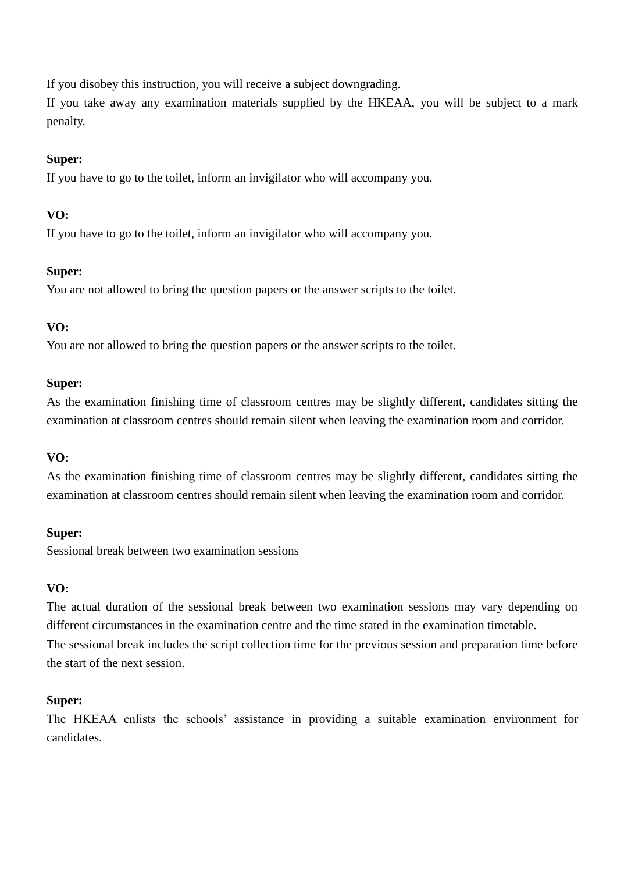If you disobey this instruction, you will receive a subject downgrading.

If you take away any examination materials supplied by the HKEAA, you will be subject to a mark penalty.

### **Super:**

If you have to go to the toilet, inform an invigilator who will accompany you.

# **VO:**

If you have to go to the toilet, inform an invigilator who will accompany you.

# **Super:**

You are not allowed to bring the question papers or the answer scripts to the toilet.

# **VO:**

You are not allowed to bring the question papers or the answer scripts to the toilet.

### **Super:**

As the examination finishing time of classroom centres may be slightly different, candidates sitting the examination at classroom centres should remain silent when leaving the examination room and corridor.

# **VO:**

As the examination finishing time of classroom centres may be slightly different, candidates sitting the examination at classroom centres should remain silent when leaving the examination room and corridor.

### **Super:**

Sessional break between two examination sessions

### **VO:**

The actual duration of the sessional break between two examination sessions may vary depending on different circumstances in the examination centre and the time stated in the examination timetable. The sessional break includes the script collection time for the previous session and preparation time before the start of the next session.

### **Super:**

The HKEAA enlists the schools' assistance in providing a suitable examination environment for candidates.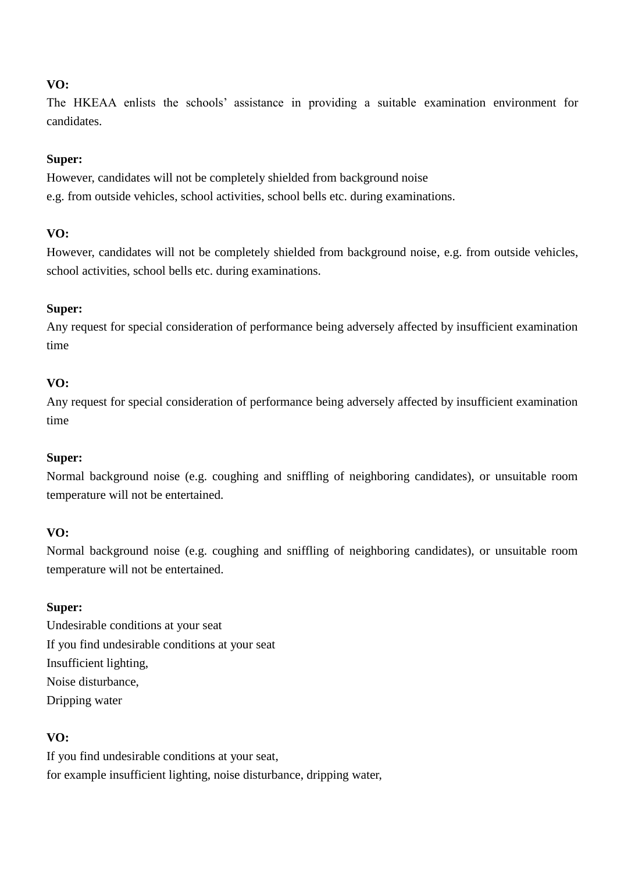The HKEAA enlists the schools' assistance in providing a suitable examination environment for candidates.

### **Super:**

However, candidates will not be completely shielded from background noise e.g. from outside vehicles, school activities, school bells etc. during examinations.

# **VO:**

However, candidates will not be completely shielded from background noise, e.g. from outside vehicles, school activities, school bells etc. during examinations.

# **Super:**

Any request for special consideration of performance being adversely affected by insufficient examination time

# **VO:**

Any request for special consideration of performance being adversely affected by insufficient examination time

### **Super:**

Normal background noise (e.g. coughing and sniffling of neighboring candidates), or unsuitable room temperature will not be entertained.

# **VO:**

Normal background noise (e.g. coughing and sniffling of neighboring candidates), or unsuitable room temperature will not be entertained.

# **Super:**

Undesirable conditions at your seat If you find undesirable conditions at your seat Insufficient lighting, Noise disturbance, Dripping water

# **VO:**

If you find undesirable conditions at your seat, for example insufficient lighting, noise disturbance, dripping water,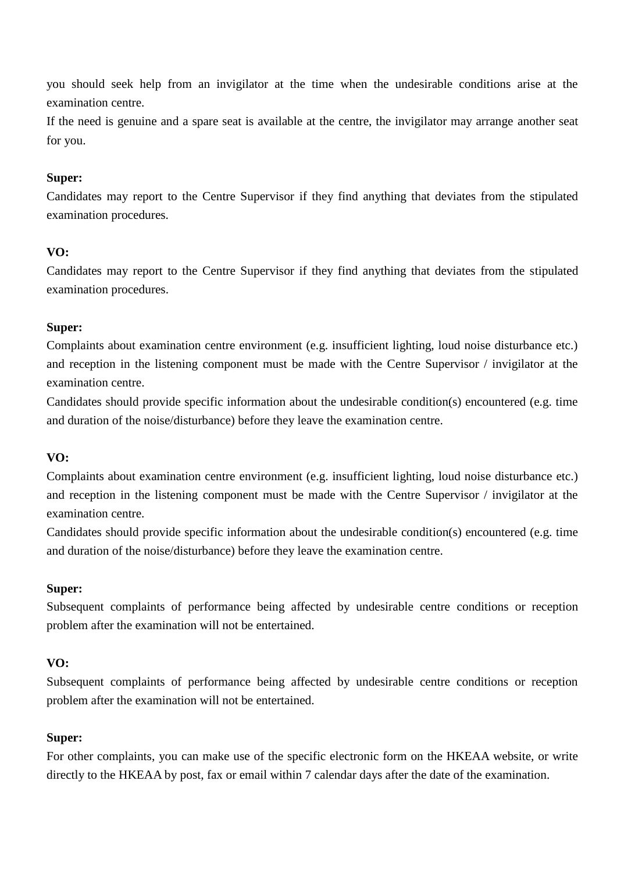you should seek help from an invigilator at the time when the undesirable conditions arise at the examination centre.

If the need is genuine and a spare seat is available at the centre, the invigilator may arrange another seat for you.

## **Super:**

Candidates may report to the Centre Supervisor if they find anything that deviates from the stipulated examination procedures.

# **VO:**

Candidates may report to the Centre Supervisor if they find anything that deviates from the stipulated examination procedures.

### **Super:**

Complaints about examination centre environment (e.g. insufficient lighting, loud noise disturbance etc.) and reception in the listening component must be made with the Centre Supervisor / invigilator at the examination centre.

Candidates should provide specific information about the undesirable condition(s) encountered (e.g. time and duration of the noise/disturbance) before they leave the examination centre.

### **VO:**

Complaints about examination centre environment (e.g. insufficient lighting, loud noise disturbance etc.) and reception in the listening component must be made with the Centre Supervisor / invigilator at the examination centre.

Candidates should provide specific information about the undesirable condition(s) encountered (e.g. time and duration of the noise/disturbance) before they leave the examination centre.

### **Super:**

Subsequent complaints of performance being affected by undesirable centre conditions or reception problem after the examination will not be entertained.

### **VO:**

Subsequent complaints of performance being affected by undesirable centre conditions or reception problem after the examination will not be entertained.

### **Super:**

For other complaints, you can make use of the specific electronic form on the HKEAA website, or write directly to the HKEAA by post, fax or email within 7 calendar days after the date of the examination.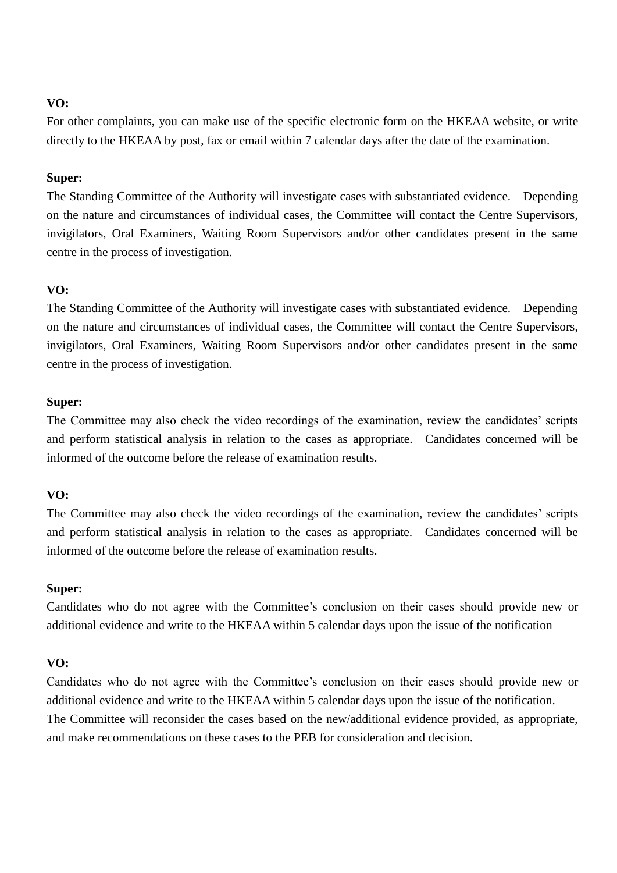For other complaints, you can make use of the specific electronic form on the HKEAA website, or write directly to the HKEAA by post, fax or email within 7 calendar days after the date of the examination.

#### **Super:**

The Standing Committee of the Authority will investigate cases with substantiated evidence. Depending on the nature and circumstances of individual cases, the Committee will contact the Centre Supervisors, invigilators, Oral Examiners, Waiting Room Supervisors and/or other candidates present in the same centre in the process of investigation.

### **VO:**

The Standing Committee of the Authority will investigate cases with substantiated evidence. Depending on the nature and circumstances of individual cases, the Committee will contact the Centre Supervisors, invigilators, Oral Examiners, Waiting Room Supervisors and/or other candidates present in the same centre in the process of investigation.

#### **Super:**

The Committee may also check the video recordings of the examination, review the candidates' scripts and perform statistical analysis in relation to the cases as appropriate. Candidates concerned will be informed of the outcome before the release of examination results.

#### **VO:**

The Committee may also check the video recordings of the examination, review the candidates' scripts and perform statistical analysis in relation to the cases as appropriate. Candidates concerned will be informed of the outcome before the release of examination results.

#### **Super:**

Candidates who do not agree with the Committee's conclusion on their cases should provide new or additional evidence and write to the HKEAA within 5 calendar days upon the issue of the notification

#### **VO:**

Candidates who do not agree with the Committee's conclusion on their cases should provide new or additional evidence and write to the HKEAA within 5 calendar days upon the issue of the notification. The Committee will reconsider the cases based on the new/additional evidence provided, as appropriate, and make recommendations on these cases to the PEB for consideration and decision.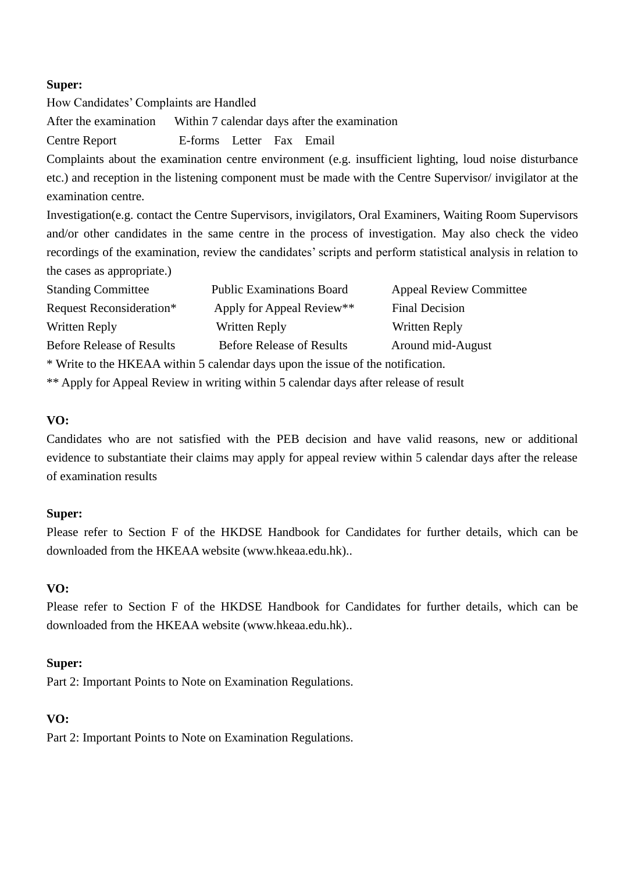How Candidates' Complaints are Handled

After the examination Within 7 calendar days after the examination

Centre Report **E-forms** Letter Fax Email

Complaints about the examination centre environment (e.g. insufficient lighting, loud noise disturbance etc.) and reception in the listening component must be made with the Centre Supervisor/ invigilator at the examination centre.

Investigation(e.g. contact the Centre Supervisors, invigilators, Oral Examiners, Waiting Room Supervisors and/or other candidates in the same centre in the process of investigation. May also check the video recordings of the examination, review the candidates' scripts and perform statistical analysis in relation to the cases as appropriate.)

| <b>Standing Committee</b>        | <b>Public Examinations Board</b> | <b>Appeal Review Committee</b> |
|----------------------------------|----------------------------------|--------------------------------|
| Request Reconsideration*         | Apply for Appeal Review**        | <b>Final Decision</b>          |
| Written Reply                    | Written Reply                    | Written Reply                  |
| <b>Before Release of Results</b> | <b>Before Release of Results</b> | Around mid-August              |
|                                  |                                  |                                |

\* Write to the HKEAA within 5 calendar days upon the issue of the notification.

\*\* Apply for Appeal Review in writing within 5 calendar days after release of result

# **VO:**

Candidates who are not satisfied with the PEB decision and have valid reasons, new or additional evidence to substantiate their claims may apply for appeal review within 5 calendar days after the release of examination results

### **Super:**

Please refer to Section F of the HKDSE Handbook for Candidates for further details, which can be downloaded from the HKEAA website (www.hkeaa.edu.hk)..

# **VO:**

Please refer to Section F of the HKDSE Handbook for Candidates for further details, which can be downloaded from the HKEAA website (www.hkeaa.edu.hk)..

### **Super:**

Part 2: Important Points to Note on Examination Regulations.

# **VO:**

Part 2: Important Points to Note on Examination Regulations.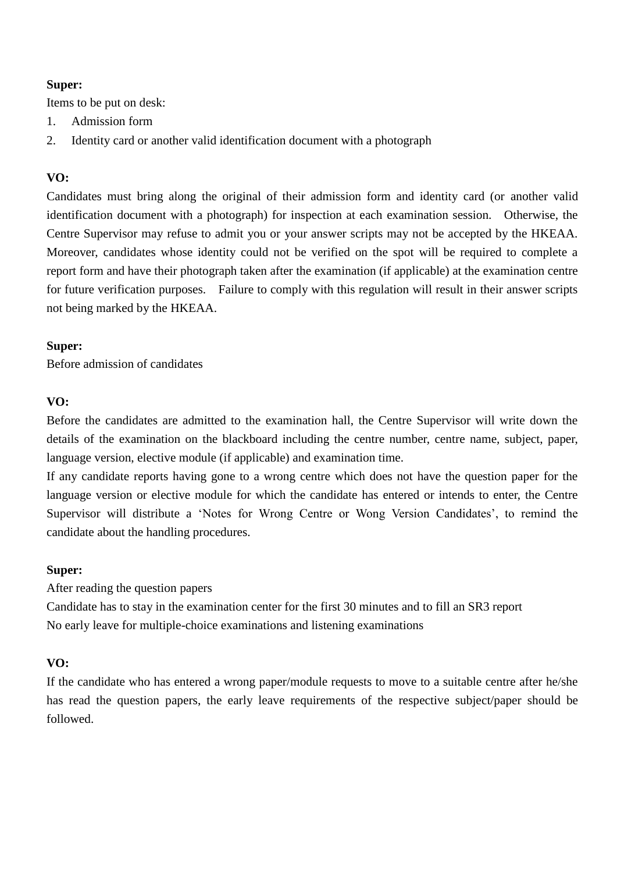Items to be put on desk:

- 1. Admission form
- 2. Identity card or another valid identification document with a photograph

# **VO:**

Candidates must bring along the original of their admission form and identity card (or another valid identification document with a photograph) for inspection at each examination session. Otherwise, the Centre Supervisor may refuse to admit you or your answer scripts may not be accepted by the HKEAA. Moreover, candidates whose identity could not be verified on the spot will be required to complete a report form and have their photograph taken after the examination (if applicable) at the examination centre for future verification purposes. Failure to comply with this regulation will result in their answer scripts not being marked by the HKEAA.

### **Super:**

Before admission of candidates

### **VO:**

Before the candidates are admitted to the examination hall, the Centre Supervisor will write down the details of the examination on the blackboard including the centre number, centre name, subject, paper, language version, elective module (if applicable) and examination time.

If any candidate reports having gone to a wrong centre which does not have the question paper for the language version or elective module for which the candidate has entered or intends to enter, the Centre Supervisor will distribute a 'Notes for Wrong Centre or Wong Version Candidates', to remind the candidate about the handling procedures.

### **Super:**

After reading the question papers

Candidate has to stay in the examination center for the first 30 minutes and to fill an SR3 report No early leave for multiple-choice examinations and listening examinations

### **VO:**

If the candidate who has entered a wrong paper/module requests to move to a suitable centre after he/she has read the question papers, the early leave requirements of the respective subject/paper should be followed.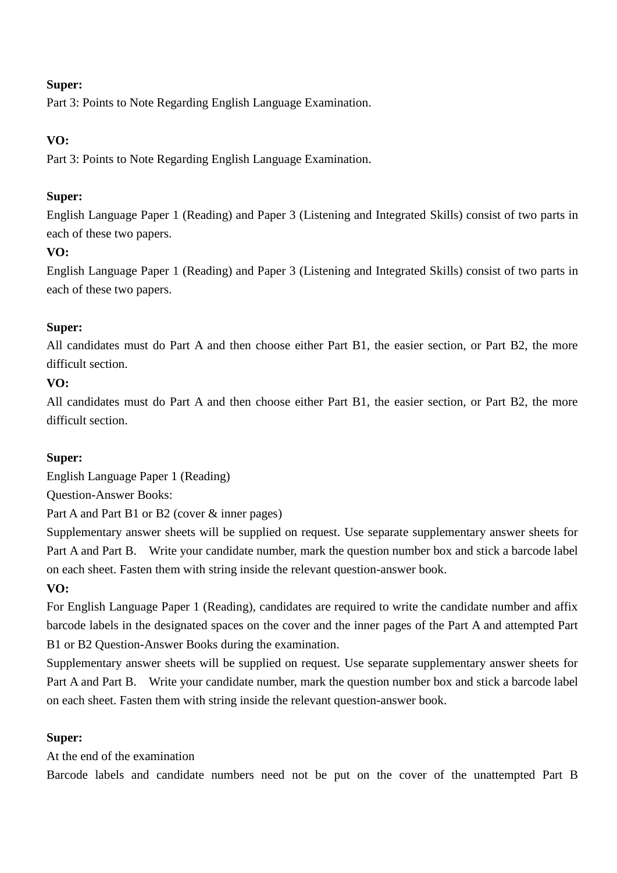Part 3: Points to Note Regarding English Language Examination.

# **VO:**

Part 3: Points to Note Regarding English Language Examination.

# **Super:**

English Language Paper 1 (Reading) and Paper 3 (Listening and Integrated Skills) consist of two parts in each of these two papers.

# **VO:**

English Language Paper 1 (Reading) and Paper 3 (Listening and Integrated Skills) consist of two parts in each of these two papers.

# **Super:**

All candidates must do Part A and then choose either Part B1, the easier section, or Part B2, the more difficult section.

# **VO:**

All candidates must do Part A and then choose either Part B1, the easier section, or Part B2, the more difficult section.

# **Super:**

English Language Paper 1 (Reading)

Question-Answer Books:

Part A and Part B1 or B2 (cover & inner pages)

Supplementary answer sheets will be supplied on request. Use separate supplementary answer sheets for Part A and Part B. Write your candidate number, mark the question number box and stick a barcode label on each sheet. Fasten them with string inside the relevant question-answer book.

# **VO:**

For English Language Paper 1 (Reading), candidates are required to write the candidate number and affix barcode labels in the designated spaces on the cover and the inner pages of the Part A and attempted Part B1 or B2 Question-Answer Books during the examination.

Supplementary answer sheets will be supplied on request. Use separate supplementary answer sheets for Part A and Part B. Write your candidate number, mark the question number box and stick a barcode label on each sheet. Fasten them with string inside the relevant question-answer book.

# **Super:**

At the end of the examination

Barcode labels and candidate numbers need not be put on the cover of the unattempted Part B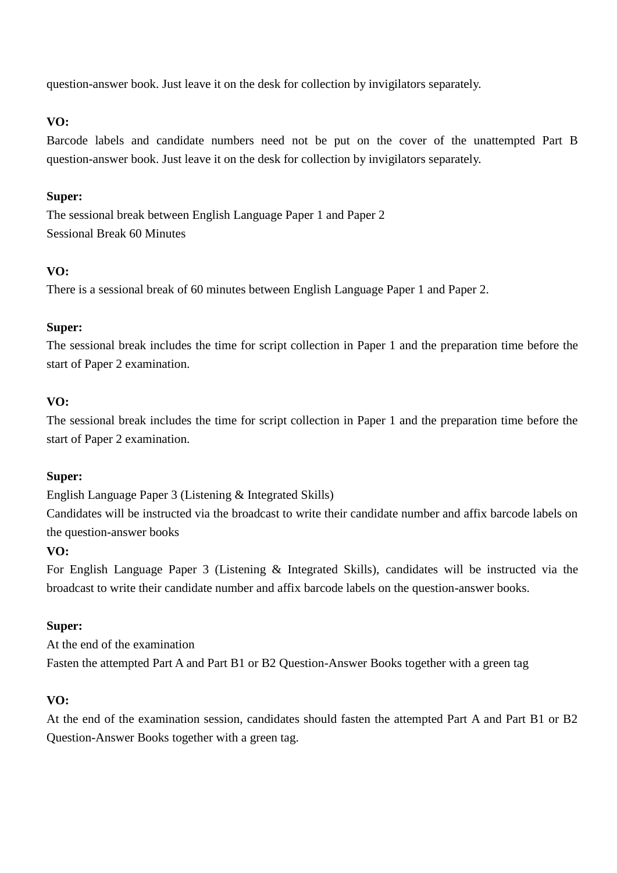question-answer book. Just leave it on the desk for collection by invigilators separately.

# **VO:**

Barcode labels and candidate numbers need not be put on the cover of the unattempted Part B question-answer book. Just leave it on the desk for collection by invigilators separately.

# **Super:**

The sessional break between English Language Paper 1 and Paper 2 Sessional Break 60 Minutes

# **VO:**

There is a sessional break of 60 minutes between English Language Paper 1 and Paper 2.

# **Super:**

The sessional break includes the time for script collection in Paper 1 and the preparation time before the start of Paper 2 examination.

# **VO:**

The sessional break includes the time for script collection in Paper 1 and the preparation time before the start of Paper 2 examination.

# **Super:**

English Language Paper 3 (Listening & Integrated Skills)

Candidates will be instructed via the broadcast to write their candidate number and affix barcode labels on the question-answer books

# **VO:**

For English Language Paper 3 (Listening & Integrated Skills), candidates will be instructed via the broadcast to write their candidate number and affix barcode labels on the question-answer books.

# **Super:**

At the end of the examination Fasten the attempted Part A and Part B1 or B2 Question-Answer Books together with a green tag

# **VO:**

At the end of the examination session, candidates should fasten the attempted Part A and Part B1 or B2 Question-Answer Books together with a green tag.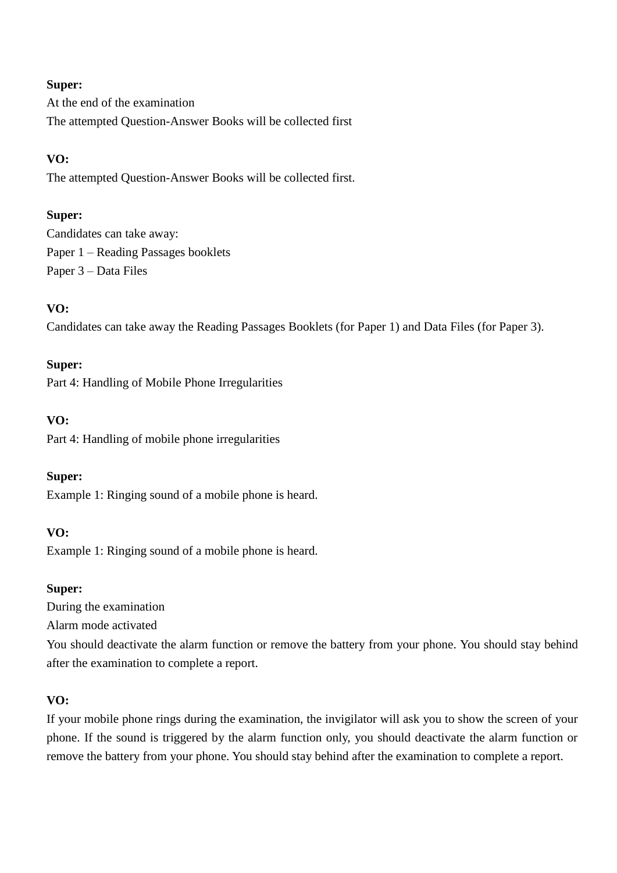At the end of the examination The attempted Question-Answer Books will be collected first

# **VO:**

The attempted Question-Answer Books will be collected first.

# **Super:**

Candidates can take away: Paper 1 – Reading Passages booklets Paper 3 – Data Files

# **VO:**

Candidates can take away the Reading Passages Booklets (for Paper 1) and Data Files (for Paper 3).

# **Super:**

Part 4: Handling of Mobile Phone Irregularities

**VO:**

Part 4: Handling of mobile phone irregularities

# **Super:**

Example 1: Ringing sound of a mobile phone is heard.

# **VO:**

Example 1: Ringing sound of a mobile phone is heard.

# **Super:**

During the examination

Alarm mode activated

You should deactivate the alarm function or remove the battery from your phone. You should stay behind after the examination to complete a report.

# **VO:**

If your mobile phone rings during the examination, the invigilator will ask you to show the screen of your phone. If the sound is triggered by the alarm function only, you should deactivate the alarm function or remove the battery from your phone. You should stay behind after the examination to complete a report.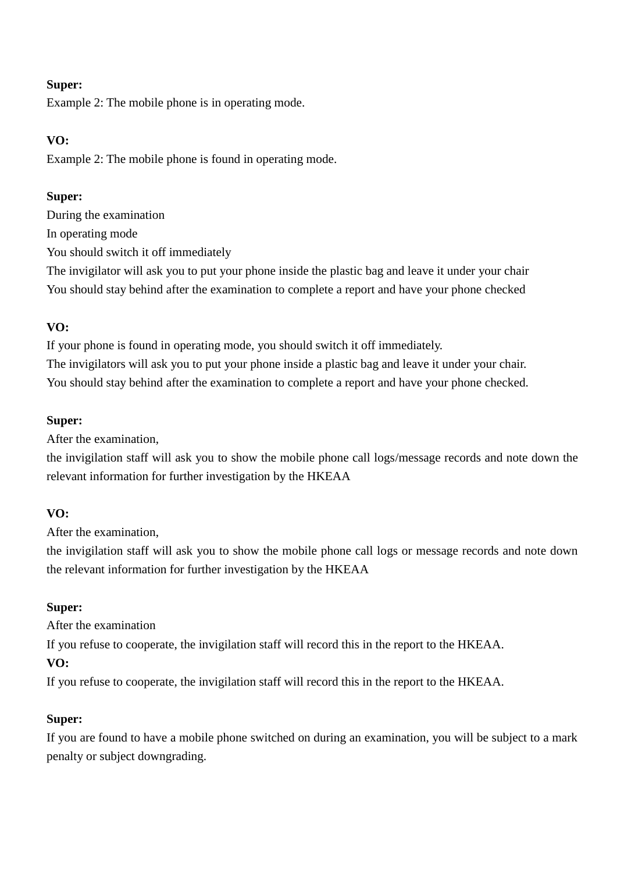Example 2: The mobile phone is in operating mode.

# **VO:**

Example 2: The mobile phone is found in operating mode.

# **Super:**

During the examination In operating mode You should switch it off immediately The invigilator will ask you to put your phone inside the plastic bag and leave it under your chair You should stay behind after the examination to complete a report and have your phone checked

# **VO:**

If your phone is found in operating mode, you should switch it off immediately. The invigilators will ask you to put your phone inside a plastic bag and leave it under your chair. You should stay behind after the examination to complete a report and have your phone checked.

# **Super:**

After the examination,

the invigilation staff will ask you to show the mobile phone call logs/message records and note down the relevant information for further investigation by the HKEAA

# **VO:**

After the examination,

the invigilation staff will ask you to show the mobile phone call logs or message records and note down the relevant information for further investigation by the HKEAA

# **Super:**

After the examination

If you refuse to cooperate, the invigilation staff will record this in the report to the HKEAA.

# **VO:**

If you refuse to cooperate, the invigilation staff will record this in the report to the HKEAA.

# **Super:**

If you are found to have a mobile phone switched on during an examination, you will be subject to a mark penalty or subject downgrading.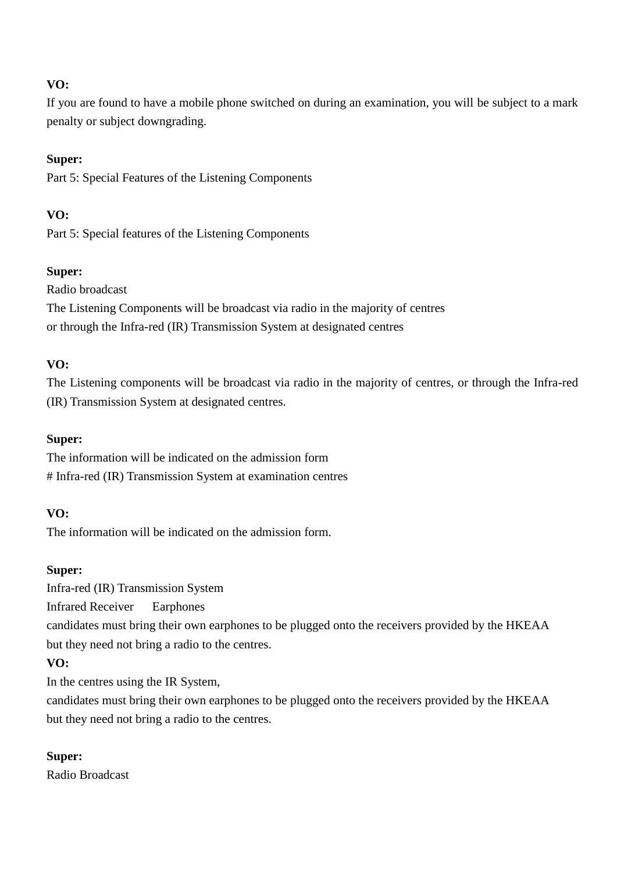If you are found to have a mobile phone switched on during an examination, you will be subject to a mark penalty or subject downgrading.

# **Super:**

Part 5: Special Features of the Listening Components

# **VO:**

Part 5: Special features of the Listening Components

# **Super:**

Radio broadcast The Listening Components will be broadcast via radio in the majority of centres or through the Infra-red (IR) Transmission System at designated centres

# **VO:**

The Listening components will be broadcast via radio in the majority of centres, or through the Infra-red (IR) Transmission System at designated centres.

## **Super:**

The information will be indicated on the admission form # Infra-red (IR) Transmission System at examination centres

### **VO:**

The information will be indicated on the admission form.

### **Super:**

Infra-red (IR) Transmission System

Infrared Receiver Earphones

candidates must bring their own earphones to be plugged onto the receivers provided by the HKEAA but they need not bring a radio to the centres.

### **VO:**

In the centres using the IR System,

candidates must bring their own earphones to be plugged onto the receivers provided by the HKEAA but they need not bring a radio to the centres.

### **Super:**

Radio Broadcast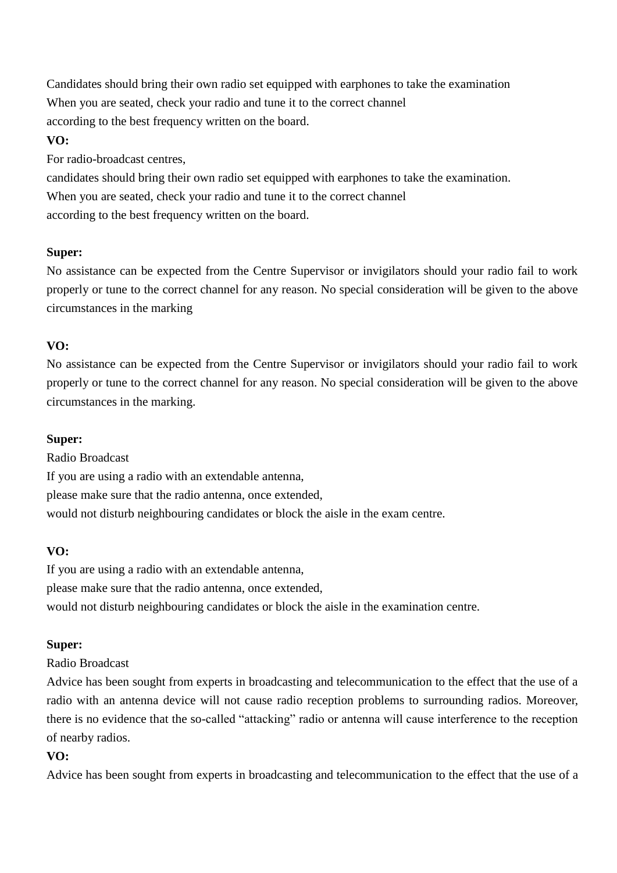Candidates should bring their own radio set equipped with earphones to take the examination When you are seated, check your radio and tune it to the correct channel according to the best frequency written on the board.

## **VO:**

For radio-broadcast centres,

candidates should bring their own radio set equipped with earphones to take the examination. When you are seated, check your radio and tune it to the correct channel according to the best frequency written on the board.

# **Super:**

No assistance can be expected from the Centre Supervisor or invigilators should your radio fail to work properly or tune to the correct channel for any reason. No special consideration will be given to the above circumstances in the marking

# **VO:**

No assistance can be expected from the Centre Supervisor or invigilators should your radio fail to work properly or tune to the correct channel for any reason. No special consideration will be given to the above circumstances in the marking.

### **Super:**

Radio Broadcast If you are using a radio with an extendable antenna, please make sure that the radio antenna, once extended, would not disturb neighbouring candidates or block the aisle in the exam centre.

### **VO:**

If you are using a radio with an extendable antenna, please make sure that the radio antenna, once extended, would not disturb neighbouring candidates or block the aisle in the examination centre.

# **Super:**

# Radio Broadcast

Advice has been sought from experts in broadcasting and telecommunication to the effect that the use of a radio with an antenna device will not cause radio reception problems to surrounding radios. Moreover, there is no evidence that the so-called "attacking" radio or antenna will cause interference to the reception of nearby radios.

# **VO:**

Advice has been sought from experts in broadcasting and telecommunication to the effect that the use of a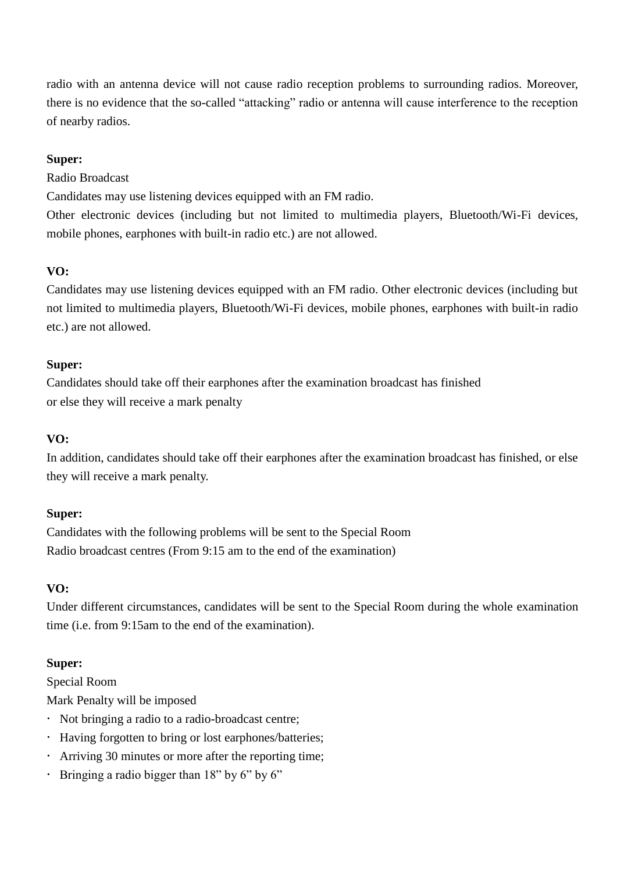radio with an antenna device will not cause radio reception problems to surrounding radios. Moreover, there is no evidence that the so-called "attacking" radio or antenna will cause interference to the reception of nearby radios.

#### **Super:**

#### Radio Broadcast

Candidates may use listening devices equipped with an FM radio.

Other electronic devices (including but not limited to multimedia players, Bluetooth/Wi-Fi devices, mobile phones, earphones with built-in radio etc.) are not allowed.

### **VO:**

Candidates may use listening devices equipped with an FM radio. Other electronic devices (including but not limited to multimedia players, Bluetooth/Wi-Fi devices, mobile phones, earphones with built-in radio etc.) are not allowed.

#### **Super:**

Candidates should take off their earphones after the examination broadcast has finished or else they will receive a mark penalty

### **VO:**

In addition, candidates should take off their earphones after the examination broadcast has finished, or else they will receive a mark penalty.

#### **Super:**

Candidates with the following problems will be sent to the Special Room Radio broadcast centres (From 9:15 am to the end of the examination)

### **VO:**

Under different circumstances, candidates will be sent to the Special Room during the whole examination time (i.e. from 9:15am to the end of the examination).

### **Super:**

Special Room

Mark Penalty will be imposed

- Not bringing a radio to a radio-broadcast centre;
- Having forgotten to bring or lost earphones/batteries;
- Arriving 30 minutes or more after the reporting time;
- Bringing a radio bigger than  $18"$  by 6" by 6"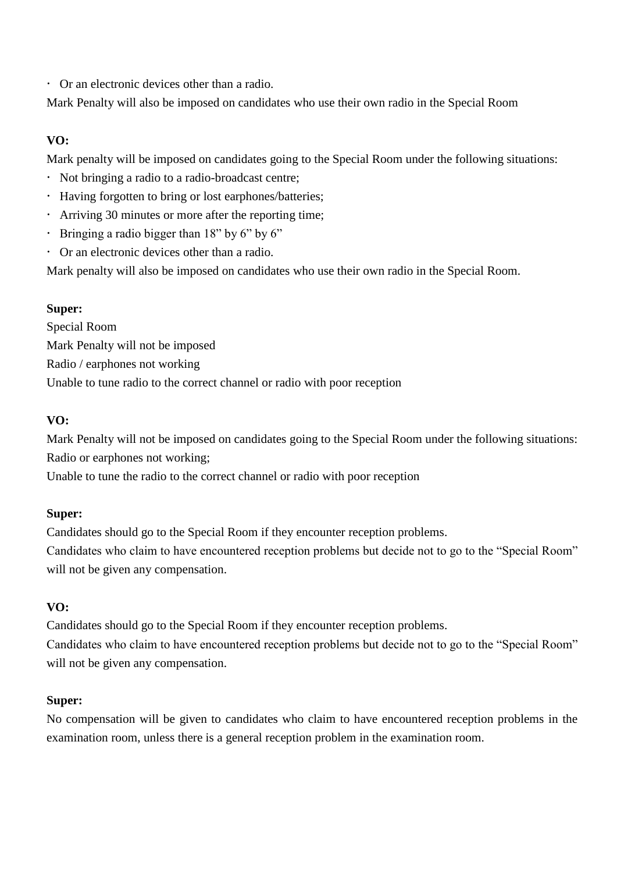Or an electronic devices other than a radio.

Mark Penalty will also be imposed on candidates who use their own radio in the Special Room

# **VO:**

Mark penalty will be imposed on candidates going to the Special Room under the following situations:

- Not bringing a radio to a radio-broadcast centre;
- Having forgotten to bring or lost earphones/batteries;
- Arriving 30 minutes or more after the reporting time;
- $\cdot$  Bringing a radio bigger than 18" by 6" by 6"
- Or an electronic devices other than a radio.

Mark penalty will also be imposed on candidates who use their own radio in the Special Room.

# **Super:**

Special Room Mark Penalty will not be imposed Radio / earphones not working Unable to tune radio to the correct channel or radio with poor reception

# **VO:**

Mark Penalty will not be imposed on candidates going to the Special Room under the following situations: Radio or earphones not working;

Unable to tune the radio to the correct channel or radio with poor reception

# **Super:**

Candidates should go to the Special Room if they encounter reception problems. Candidates who claim to have encountered reception problems but decide not to go to the "Special Room" will not be given any compensation.

# **VO:**

Candidates should go to the Special Room if they encounter reception problems. Candidates who claim to have encountered reception problems but decide not to go to the "Special Room" will not be given any compensation.

# **Super:**

No compensation will be given to candidates who claim to have encountered reception problems in the examination room, unless there is a general reception problem in the examination room.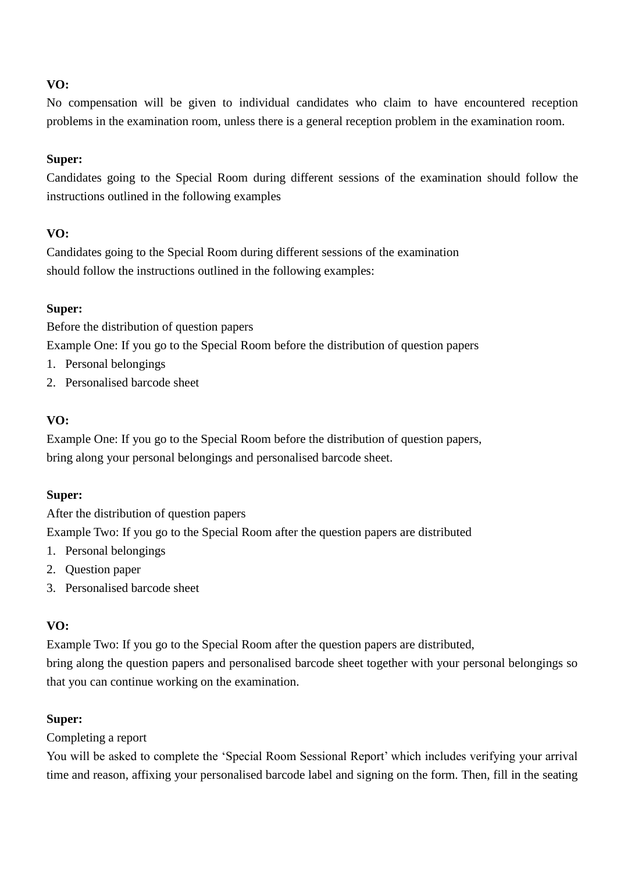No compensation will be given to individual candidates who claim to have encountered reception problems in the examination room, unless there is a general reception problem in the examination room.

## **Super:**

Candidates going to the Special Room during different sessions of the examination should follow the instructions outlined in the following examples

# **VO:**

Candidates going to the Special Room during different sessions of the examination should follow the instructions outlined in the following examples:

# **Super:**

Before the distribution of question papers

Example One: If you go to the Special Room before the distribution of question papers

- 1. Personal belongings
- 2. Personalised barcode sheet

# **VO:**

Example One: If you go to the Special Room before the distribution of question papers, bring along your personal belongings and personalised barcode sheet.

### **Super:**

After the distribution of question papers

Example Two: If you go to the Special Room after the question papers are distributed

- 1. Personal belongings
- 2. Question paper
- 3. Personalised barcode sheet

# **VO:**

Example Two: If you go to the Special Room after the question papers are distributed, bring along the question papers and personalised barcode sheet together with your personal belongings so that you can continue working on the examination.

### **Super:**

Completing a report

You will be asked to complete the 'Special Room Sessional Report' which includes verifying your arrival time and reason, affixing your personalised barcode label and signing on the form. Then, fill in the seating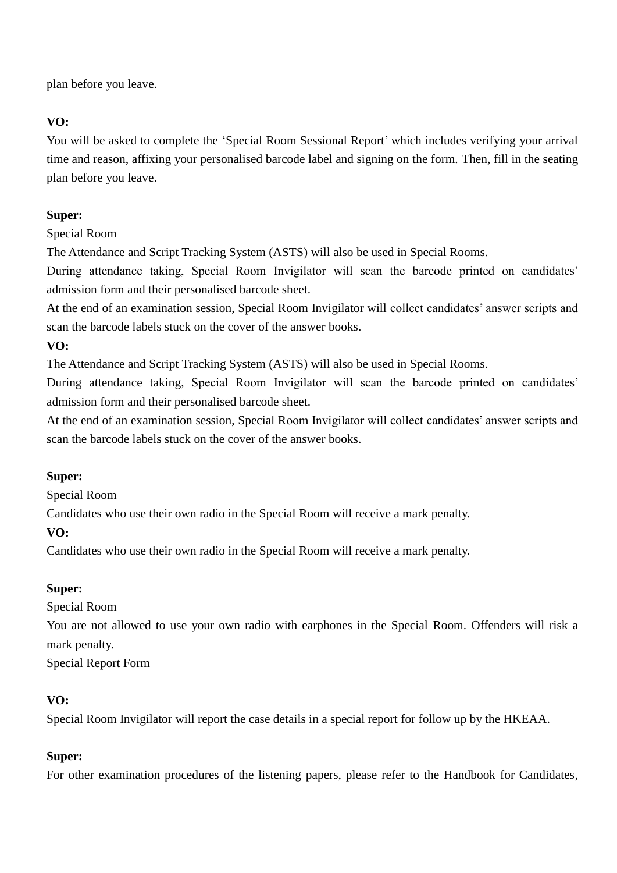plan before you leave.

# **VO:**

You will be asked to complete the 'Special Room Sessional Report' which includes verifying your arrival time and reason, affixing your personalised barcode label and signing on the form. Then, fill in the seating plan before you leave.

# **Super:**

Special Room

The Attendance and Script Tracking System (ASTS) will also be used in Special Rooms.

During attendance taking, Special Room Invigilator will scan the barcode printed on candidates' admission form and their personalised barcode sheet.

At the end of an examination session, Special Room Invigilator will collect candidates' answer scripts and scan the barcode labels stuck on the cover of the answer books.

# **VO:**

The Attendance and Script Tracking System (ASTS) will also be used in Special Rooms.

During attendance taking, Special Room Invigilator will scan the barcode printed on candidates' admission form and their personalised barcode sheet.

At the end of an examination session, Special Room Invigilator will collect candidates' answer scripts and scan the barcode labels stuck on the cover of the answer books.

# **Super:**

Special Room

Candidates who use their own radio in the Special Room will receive a mark penalty.

**VO:**

Candidates who use their own radio in the Special Room will receive a mark penalty.

# **Super:**

Special Room

You are not allowed to use your own radio with earphones in the Special Room. Offenders will risk a mark penalty.

Special Report Form

# **VO:**

Special Room Invigilator will report the case details in a special report for follow up by the HKEAA.

# **Super:**

For other examination procedures of the listening papers, please refer to the Handbook for Candidates,